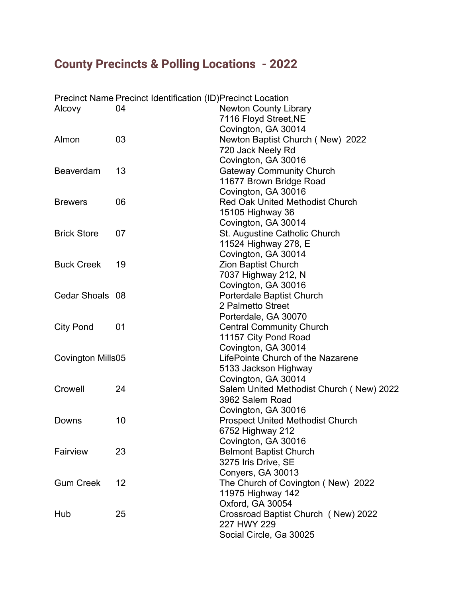## **County Precincts & Polling Locations - 2022**

|                    | <b>Precinct Name Precinct Identification (ID) Precinct Location</b> |                                          |
|--------------------|---------------------------------------------------------------------|------------------------------------------|
| Alcovy             | 04                                                                  | <b>Newton County Library</b>             |
|                    |                                                                     | 7116 Floyd Street, NE                    |
|                    |                                                                     | Covington, GA 30014                      |
| Almon              | 03                                                                  | Newton Baptist Church (New) 2022         |
|                    |                                                                     | 720 Jack Neely Rd                        |
|                    |                                                                     | Covington, GA 30016                      |
| Beaverdam          | 13                                                                  | <b>Gateway Community Church</b>          |
|                    |                                                                     | 11677 Brown Bridge Road                  |
|                    |                                                                     | Covington, GA 30016                      |
| <b>Brewers</b>     | 06                                                                  | <b>Red Oak United Methodist Church</b>   |
|                    |                                                                     | 15105 Highway 36                         |
|                    |                                                                     | Covington, GA 30014                      |
| <b>Brick Store</b> | 07                                                                  | St. Augustine Catholic Church            |
|                    |                                                                     | 11524 Highway 278, E                     |
|                    |                                                                     | Covington, GA 30014                      |
| <b>Buck Creek</b>  | 19                                                                  | <b>Zion Baptist Church</b>               |
|                    |                                                                     | 7037 Highway 212, N                      |
|                    |                                                                     | Covington, GA 30016                      |
| Cedar Shoals 08    |                                                                     | Porterdale Baptist Church                |
|                    |                                                                     | 2 Palmetto Street                        |
|                    |                                                                     | Porterdale, GA 30070                     |
| <b>City Pond</b>   | 01                                                                  | <b>Central Community Church</b>          |
|                    |                                                                     | 11157 City Pond Road                     |
|                    |                                                                     | Covington, GA 30014                      |
| Covington Mills05  |                                                                     | LifePointe Church of the Nazarene        |
|                    |                                                                     | 5133 Jackson Highway                     |
|                    |                                                                     | Covington, GA 30014                      |
| Crowell            | 24                                                                  | Salem United Methodist Church (New) 2022 |
|                    |                                                                     | 3962 Salem Road                          |
|                    |                                                                     | Covington, GA 30016                      |
| Downs              | 10                                                                  | <b>Prospect United Methodist Church</b>  |
|                    |                                                                     | 6752 Highway 212                         |
|                    |                                                                     | Covington, GA 30016                      |
| Fairview           | 23                                                                  | <b>Belmont Baptist Church</b>            |
|                    |                                                                     | 3275 Iris Drive, SE                      |
|                    |                                                                     | Conyers, GA 30013                        |
| <b>Gum Creek</b>   | 12                                                                  | The Church of Covington (New) 2022       |
|                    |                                                                     | 11975 Highway 142                        |
|                    |                                                                     | Oxford, GA 30054                         |
| Hub                | 25                                                                  | Crossroad Baptist Church (New) 2022      |
|                    |                                                                     | 227 HWY 229                              |
|                    |                                                                     | Social Circle, Ga 30025                  |